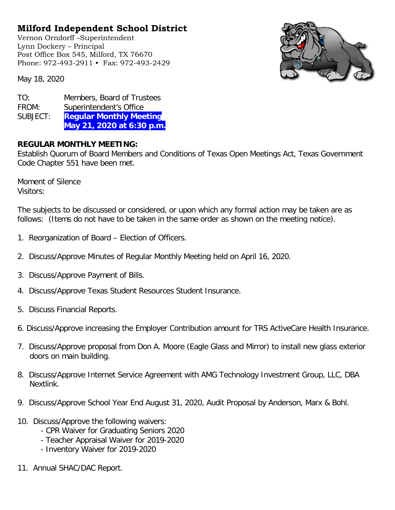## **Milford Independent School District**

Vernon Orndorff –Superintendent Lynn Dockery – Principal Post Office Box 545, Milford, TX 76670 Phone: 972-493-2911 • Fax: 972-493-2429



May 18, 2020

TO: Members, Board of Trustees FROM: Superintendent's Office SUBJECT: **Regular Monthly Meeting May 21, 2020 at 6:30 p.m.**

## **REGULAR MONTHLY MEETING:**

Establish Quorum of Board Members and Conditions of Texas Open Meetings Act, Texas Government Code Chapter 551 have been met.

Moment of Silence Visitors:

The subjects to be discussed or considered, or upon which any formal action may be taken are as follows: (Items do not have to be taken in the same order as shown on the meeting notice).

- 1. Reorganization of Board Election of Officers.
- 2. Discuss/Approve Minutes of Regular Monthly Meeting held on April 16, 2020.
- 3. Discuss/Approve Payment of Bills.
- 4. Discuss/Approve Texas Student Resources Student Insurance.
- 5. Discuss Financial Reports.
- 6. Discuss/Approve increasing the Employer Contribution amount for TRS ActiveCare Health Insurance.
- 7. Discuss/Approve proposal from Don A. Moore (Eagle Glass and Mirror) to install new glass exterior doors on main building.
- 8. Discuss/Approve Internet Service Agreement with AMG Technology Investment Group, LLC, DBA Nextlink.
- 9. Discuss/Approve School Year End August 31, 2020, Audit Proposal by Anderson, Marx & Bohl.
- 10. Discuss/Approve the following waivers:
	- CPR Waiver for Graduating Seniors 2020
	- Teacher Appraisal Waiver for 2019-2020
	- Inventory Waiver for 2019-2020
- 11. Annual SHAC/DAC Report.